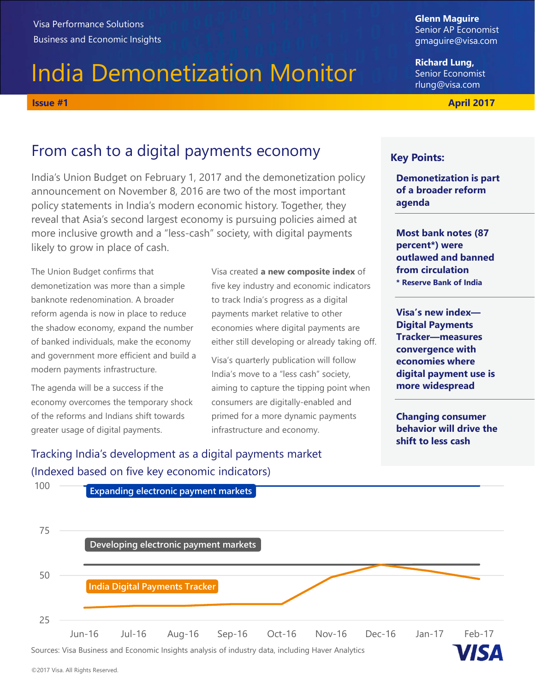# India Demonetization Monitor Visa Performance Solutions<br>
Business and Economic Insights<br>
India Demonetization Monitor<br>
Issue #1 April 2017<br>
From cash to a digital payments economy<br>
From cash to a digital payments economy<br>
Rev Points:

## From cash to a digital payments economy

India's Union Budget on February 1, 2017 and the demonetization policy announcement on November 8, 2016 are two of the most important policy statements in India's modern economic history. Together, they reveal that Asia's second largest economy is pursuing policies aimed at more inclusive growth and a "less-cash" society, with digital payments likely to grow in place of cash.

The Union Budget confirms that demonetization was more than a simple banknote redenomination. A broader reform agenda is now in place to reduce the shadow economy, expand the number of banked individuals, make the economy and government more efficient and build a modern payments infrastructure.

The agenda will be a success if the economy overcomes the temporary shock of the reforms and Indians shift towards greater usage of digital payments.

Visa created **a new composite index** of five key industry and economic indicators to track India's progress as a digital payments market relative to other economies where digital payments are either still developing or already taking off.

Visa's quarterly publication will follow India's move to a "less cash" society, aiming to capture the tipping point when consumers are digitally-enabled and primed for a more dynamic payments infrastructure and economy.

Tracking India's development as a digital payments market (Indexed based on five key economic indicators)



Glenn Maguire Senior AP Economist gmaguire@visa.com

Richard Lung, Senior Economist rlung@visa.com

### Key Points:

Demonetization is part of a broader reform agenda

Most bank notes (87 percent\*) were outlawed and banned from circulation \* Reserve Bank of India

Visa's new index— Digital Payments Tracker—measures convergence with economies where digital payment use is more widespread

Changing consumer behavior will drive the shift to less cash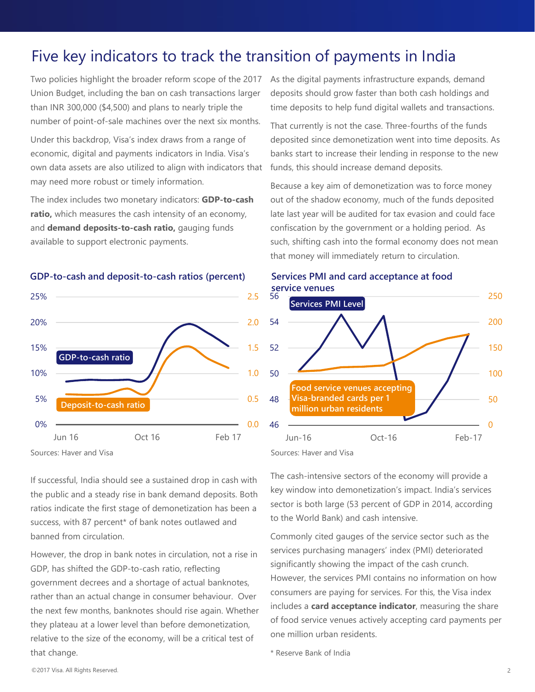## Five key indicators to track the transition of payments in India

Five key indicators to track the transition of payments in India<br>Two policies highlight the broader reform scope of the 2017 As the digital payments infrastructure expands, demand<br>Union Budget, including the ban on cash tr Union Budget, including the ban on cash transactions larger than INR 300,000 (\$4,500) and plans to nearly triple the number of point-of-sale machines over the next six months.

economic, digital and payments indicators in India. Visa's own data assets are also utilized to align with indicators that may need more robust or timely information.

The index includes two monetary indicators: GDP-to-cash ratio, which measures the cash intensity of an economy, and demand deposits-to-cash ratio, gauging funds available to support electronic payments.



GDP-to-cash and deposit-to-cash ratios (percent)

As the digital payments infrastructure expands, demand deposits should grow faster than both cash holdings and time deposits to help fund digital wallets and transactions.

Under this backdrop, Visa's index draws from a range of deposited since demonetization went into time deposits. As That currently is not the case. Three-fourths of the funds **ISTION OF PAYMENTS IN INDIA**<br>As the digital payments infrastructure expands, demand<br>deposits should grow faster than both cash holdings and<br>time deposits to help fund digital wallets and transactions.<br>That currently is no banks start to increase their lending in response to the new funds, this should increase demand deposits.

Because a key aim of demonetization was to force money out of the shadow economy, much of the funds deposited late last year will be audited for tax evasion and could face confiscation by the government or a holding period. As such, shifting cash into the formal economy does not mean that money will immediately return to circulation.



Services PMI and card acceptance at food

If successful, India should see a sustained drop in cash with<br>the public and a steady rise in bank demand denosits. Both a key window into demonetization's impact, India's services the public and a steady rise in bank demand deposits. Both ratios indicate the first stage of demonetization has been a success, with 87 percent\* of bank notes outlawed and banned from circulation.

However, the drop in bank notes in circulation, not a rise in GDP, has shifted the GDP-to-cash ratio, reflecting government decrees and a shortage of actual banknotes, rather than an actual change in consumer behaviour. Over the next few months, banknotes should rise again. Whether they plateau at a lower level than before demonetization, relative to the size of the economy, will be a critical test of that change.

The cash-intensive sectors of the economy will provide a sector is both large (53 percent of GDP in 2014, according to the World Bank) and cash intensive.

Commonly cited gauges of the service sector such as the services purchasing managers' index (PMI) deteriorated significantly showing the impact of the cash crunch. However, the services PMI contains no information on how consumers are paying for services. For this, the Visa index includes a card acceptance indicator, measuring the share of food service venues actively accepting card payments per one million urban residents.

\* Reserve Bank of India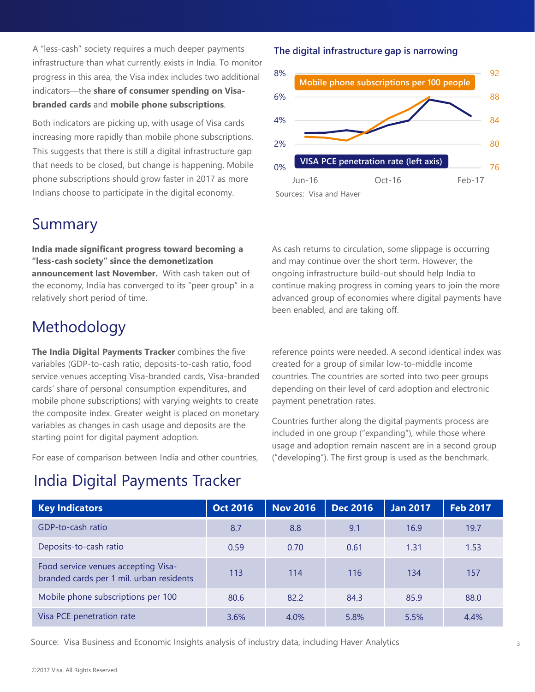A "less-cash" society requires a much deeper payments infrastructure than what currently exists in India. To monitor progress in this area, the Visa index includes two additional indicators—the share of consumer spending on Visa**branded cards** and **mobile phone subscriptions**.<br>Both indicators are picking up, with usage of Visa cards 4%

increasing more rapidly than mobile phone subscriptions. This suggests that there is still a digital infrastructure gap that needs to be closed, but change is happening. Mobile  $_{0\%}$ phone subscriptions should grow faster in 2017 as more Indians choose to participate in the digital economy.

### Summary

India made significant progress toward becoming a "less-cash society" since the demonetization announcement last November. With cash taken out of the economy, India has converged to its "peer group" in a relatively short period of time.

# Methodology

# India Digital Payments Tracker

### The digital infrastructure gap is narrowing



As cash returns to circulation, some slippage is occurring and may continue over the short term. However, the ongoing infrastructure build-out should help India to continue making progress in coming years to join the more advanced group of economies where digital payments have been enabled, and are taking off.

| the economy, India has converged to its "peer group" in a<br>relatively short period of time.                                                                                                                                                                                                                                                                                                                                                                                                                                                                                  |                 | continue making progress in coming years to join the more<br>advanced group of economies where digital payments have<br>been enabled, and are taking off.                                                                                                                                                                                                                                                                                                                                                             |                 |                 |                 |
|--------------------------------------------------------------------------------------------------------------------------------------------------------------------------------------------------------------------------------------------------------------------------------------------------------------------------------------------------------------------------------------------------------------------------------------------------------------------------------------------------------------------------------------------------------------------------------|-----------------|-----------------------------------------------------------------------------------------------------------------------------------------------------------------------------------------------------------------------------------------------------------------------------------------------------------------------------------------------------------------------------------------------------------------------------------------------------------------------------------------------------------------------|-----------------|-----------------|-----------------|
| Methodology                                                                                                                                                                                                                                                                                                                                                                                                                                                                                                                                                                    |                 |                                                                                                                                                                                                                                                                                                                                                                                                                                                                                                                       |                 |                 |                 |
| The India Digital Payments Tracker combines the five<br>variables (GDP-to-cash ratio, deposits-to-cash ratio, food<br>service venues accepting Visa-branded cards, Visa-branded<br>cards' share of personal consumption expenditures, and<br>mobile phone subscriptions) with varying weights to create<br>the composite index. Greater weight is placed on monetary<br>variables as changes in cash usage and deposits are the<br>starting point for digital payment adoption.<br>For ease of comparison between India and other countries,<br>India Digital Payments Tracker |                 | reference points were needed. A second identical index was<br>created for a group of similar low-to-middle income<br>countries. The countries are sorted into two peer groups<br>depending on their level of card adoption and electronic<br>payment penetration rates.<br>Countries further along the digital payments process are<br>included in one group ("expanding"), while those where<br>usage and adoption remain nascent are in a second group<br>("developing"). The first group is used as the benchmark. |                 |                 |                 |
|                                                                                                                                                                                                                                                                                                                                                                                                                                                                                                                                                                                |                 |                                                                                                                                                                                                                                                                                                                                                                                                                                                                                                                       |                 |                 |                 |
| <b>Key Indicators</b>                                                                                                                                                                                                                                                                                                                                                                                                                                                                                                                                                          | <b>Oct 2016</b> | <b>Nov 2016</b>                                                                                                                                                                                                                                                                                                                                                                                                                                                                                                       | <b>Dec 2016</b> | <b>Jan 2017</b> | <b>Feb 2017</b> |
| GDP-to-cash ratio                                                                                                                                                                                                                                                                                                                                                                                                                                                                                                                                                              | 8.7             | 8.8                                                                                                                                                                                                                                                                                                                                                                                                                                                                                                                   | 9.1             | 16.9            | 19.7            |
| Deposits-to-cash ratio                                                                                                                                                                                                                                                                                                                                                                                                                                                                                                                                                         | 0.59            | 0.70                                                                                                                                                                                                                                                                                                                                                                                                                                                                                                                  | 0.61            | 1.31            | 1.53            |
| Food service venues accepting Visa-<br>branded cards per 1 mil. urban residents                                                                                                                                                                                                                                                                                                                                                                                                                                                                                                | 113             | 114                                                                                                                                                                                                                                                                                                                                                                                                                                                                                                                   | 116             | 134             | 157             |
| Mobile phone subscriptions per 100                                                                                                                                                                                                                                                                                                                                                                                                                                                                                                                                             | 80.6            | 82.2                                                                                                                                                                                                                                                                                                                                                                                                                                                                                                                  | 84.3            | 85.9            | 88.0            |